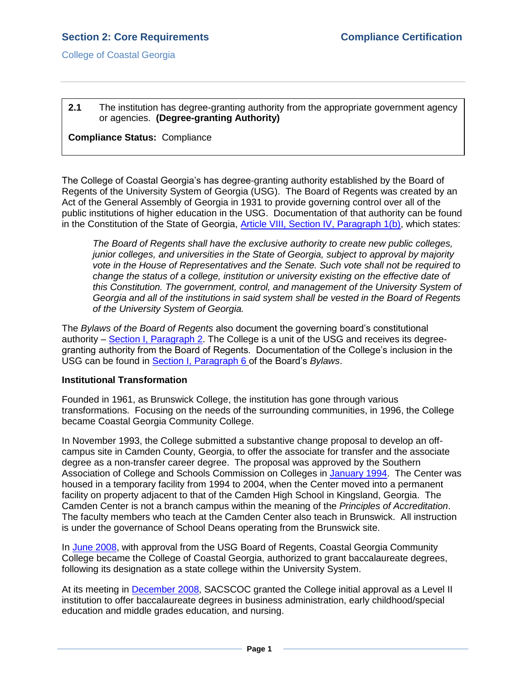College of Coastal Georgia

## **2.1** The institution has degree-granting authority from the appropriate government agency or agencies. **(Degree-granting Authority)**

## **Compliance Status:** Compliance

The College of Coastal Georgia's has degree-granting authority established by the Board of Regents of the University System of Georgia (USG). The Board of Regents was created by an Act of the General Assembly of Georgia in 1931 to provide governing control over all of the public institutions of higher education in the USG. Documentation of that authority can be found in the Constitution of the State of Georgia, [Article VIII, Section IV, Paragraph 1\(b\),](GAconstitution.pdf#page=63.pdf) which states:

*The Board of Regents shall have the exclusive authority to create new public colleges, junior colleges, and universities in the State of Georgia, subject to approval by majority vote in the House of Representatives and the Senate. Such vote shall not be required to change the status of a college, institution or university existing on the effective date of this Constitution. The government, control, and management of the University System of Georgia and all of the institutions in said system shall be vested in the Board of Regents of the University System of Georgia.* 

The *Bylaws of the Board of Regents* also document the governing board's constitutional authority – [Section I, Paragraph 2.](USGBORbylaws.pdf#page=2) The College is a unit of the USG and receives its degreegranting authority from the Board of Regents. Documentation of the College's inclusion in the USG can be found in [Section I, Paragraph 6](USGBORbylaws.pdf#page=3) of the Board's *Bylaws*.

## **Institutional Transformation**

Founded in 1961, as Brunswick College, the institution has gone through various transformations. Focusing on the needs of the surrounding communities, in 1996, the College became Coastal Georgia Community College.

In November 1993, the College submitted a substantive change proposal to develop an offcampus site in Camden County, Georgia, to offer the associate for transfer and the associate degree as a non-transfer career degree. The proposal was approved by the Southern Association of College and Schools Commission on Colleges in [January 1994.](2.1.dSACSCOCJan1994camdenletter.pdf#page=1) The Center was housed in a temporary facility from 1994 to 2004, when the Center moved into a permanent facility on property adjacent to that of the Camden High School in Kingsland, Georgia. The Camden Center is not a branch campus within the meaning of the *Principles of Accreditation*. The faculty members who teach at the Camden Center also teach in Brunswick. All instruction is under the governance of School Deans operating from the Brunswick site.

In [June 2008,](2.1.eUSGBORmeetingminutes062008.pdf#page=7) with approval from the USG Board of Regents, Coastal Georgia Community College became the College of Coastal Georgia, authorized to grant baccalaureate degrees, following its designation as a state college within the University System.

At its meeting in [December 2008,](2.1.fSACSCOCJan2009levelIIlapprov.pdf#page=1) SACSCOC granted the College initial approval as a Level II institution to offer baccalaureate degrees in business administration, early childhood/special education and middle grades education, and nursing.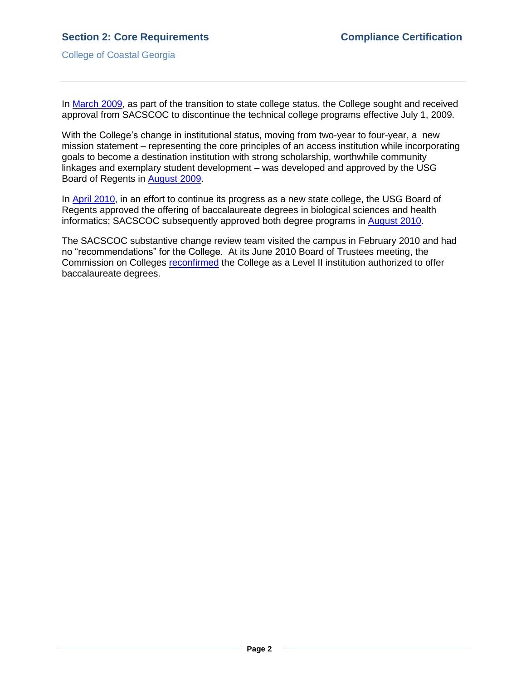College of Coastal Georgia

In [March 2009,](2.1.gUSGBORmar2009discontinuetech.pdf#page=1) as part of the transition to state college status, the College sought and received approval from SACSCOC to discontinue the technical college programs effective July 1, 2009.

With the College's change in institutional status, moving from two-year to four-year, a new mission statement – representing the core principles of an access institution while incorporating goals to become a destination institution with strong scholarship, worthwhile community linkages and exemplary student development – was developed and approved by the USG Board of Regents in [August 2009.](2.1.hUSGBORmeetingminutes082009.pdf#page=12)

In [April 2010,](2.1.iUSGBORApr2010meetingminutes.pdf#page=6) in an effort to continue its progress as a new state college, the USG Board of Regents approved the offering of baccalaureate degrees in biological sciences and health informatics; SACSCOC subsequently approved both degree programs in [August 2010.](2.1.jSACSCOCapprovalofbiosci&heainfor.pdf#page=1)

The SACSCOC substantive change review team visited the campus in February 2010 and had no "recommendations" for the College. At its June 2010 Board of Trustees meeting, the Commission on Colleges [reconfirmed](2.1.kSACSCOCjuly2010continuedaccreditation.pdf#page=1) the College as a Level II institution authorized to offer baccalaureate degrees.